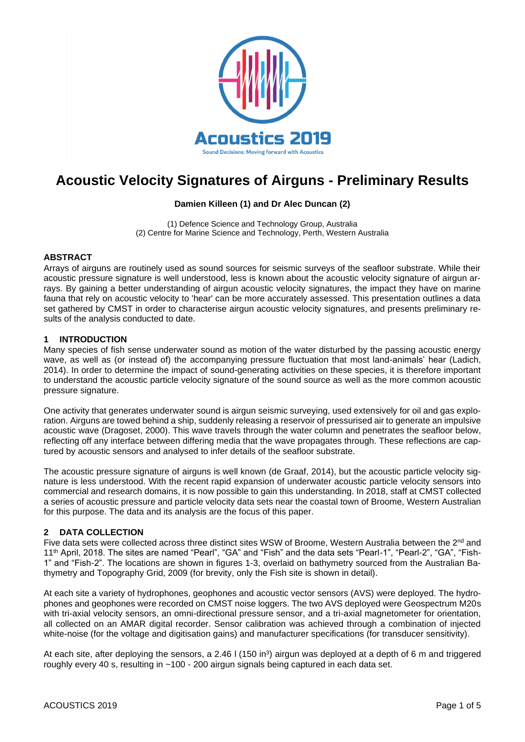

# **Acoustic Velocity Signatures of Airguns - Preliminary Results**

## **Damien Killeen (1) and Dr Alec Duncan (2)**

(1) Defence Science and Technology Group, Australia (2) Centre for Marine Science and Technology, Perth, Western Australia

## **ABSTRACT**

Arrays of airguns are routinely used as sound sources for seismic surveys of the seafloor substrate. While their acoustic pressure signature is well understood, less is known about the acoustic velocity signature of airgun arrays. By gaining a better understanding of airgun acoustic velocity signatures, the impact they have on marine fauna that rely on acoustic velocity to 'hear' can be more accurately assessed. This presentation outlines a data set gathered by CMST in order to characterise airgun acoustic velocity signatures, and presents preliminary results of the analysis conducted to date.

#### **1 INTRODUCTION**

Many species of fish sense underwater sound as motion of the water disturbed by the passing acoustic energy wave, as well as (or instead of) the accompanying pressure fluctuation that most land-animals' hear (Ladich, 2014). In order to determine the impact of sound-generating activities on these species, it is therefore important to understand the acoustic particle velocity signature of the sound source as well as the more common acoustic pressure signature.

One activity that generates underwater sound is airgun seismic surveying, used extensively for oil and gas exploration. Airguns are towed behind a ship, suddenly releasing a reservoir of pressurised air to generate an impulsive acoustic wave (Dragoset, 2000). This wave travels through the water column and penetrates the seafloor below, reflecting off any interface between differing media that the wave propagates through. These reflections are captured by acoustic sensors and analysed to infer details of the seafloor substrate.

The acoustic pressure signature of airguns is well known (de Graaf, 2014), but the acoustic particle velocity signature is less understood. With the recent rapid expansion of underwater acoustic particle velocity sensors into commercial and research domains, it is now possible to gain this understanding. In 2018, staff at CMST collected a series of acoustic pressure and particle velocity data sets near the coastal town of Broome, Western Australian for this purpose. The data and its analysis are the focus of this paper.

## **2 DATA COLLECTION**

Five data sets were collected across three distinct sites WSW of Broome, Western Australia between the 2<sup>nd</sup> and 11th April, 2018. The sites are named "Pearl", "GA" and "Fish" and the data sets "Pearl-1", "Pearl-2", "GA", "Fish-1" and "Fish-2". The locations are shown in figures 1-3, overlaid on bathymetry sourced from the Australian Bathymetry and Topography Grid, 2009 (for brevity, only the Fish site is shown in detail).

At each site a variety of hydrophones, geophones and acoustic vector sensors (AVS) were deployed. The hydrophones and geophones were recorded on CMST noise loggers. The two AVS deployed were Geospectrum M20s with tri-axial velocity sensors, an omni-directional pressure sensor, and a tri-axial magnetometer for orientation, all collected on an AMAR digital recorder. Sensor calibration was achieved through a combination of injected white-noise (for the voltage and digitisation gains) and manufacturer specifications (for transducer sensitivity).

At each site, after deploying the sensors, a 2.46 l (150 in<sup>3</sup>) airgun was deployed at a depth of 6 m and triggered roughly every 40 s, resulting in ~100 - 200 airgun signals being captured in each data set.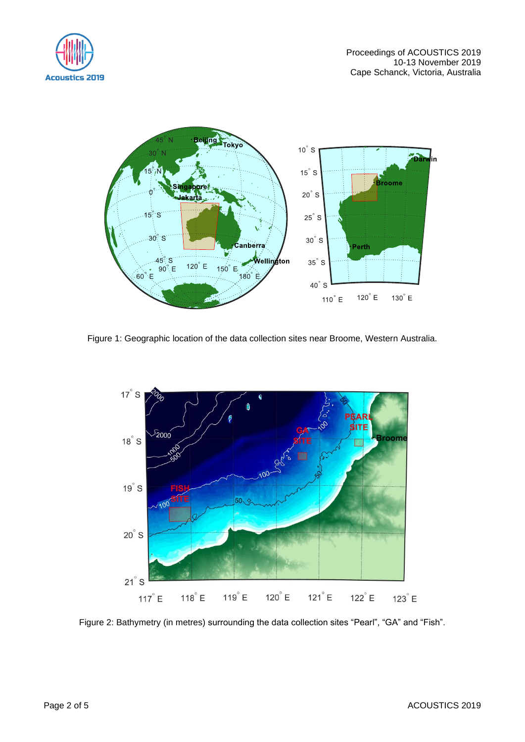



Figure 1: Geographic location of the data collection sites near Broome, Western Australia.



Figure 2: Bathymetry (in metres) surrounding the data collection sites "Pearl", "GA" and "Fish".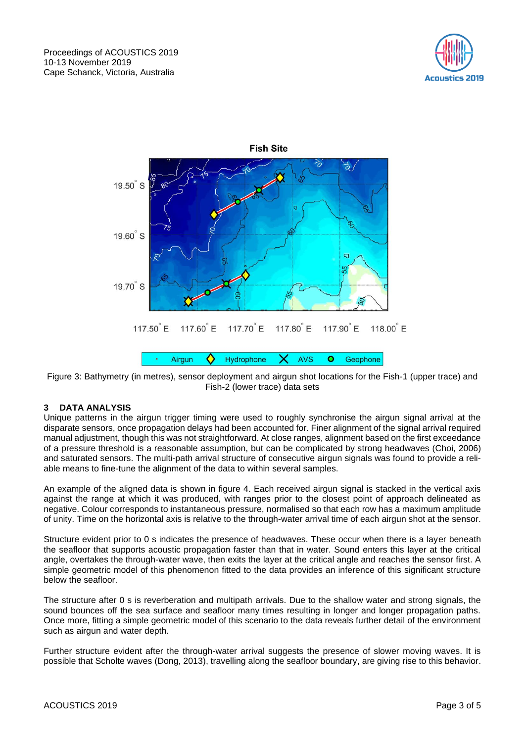



Figure 3: Bathymetry (in metres), sensor deployment and airgun shot locations for the Fish-1 (upper trace) and Fish-2 (lower trace) data sets

## **3 DATA ANALYSIS**

Unique patterns in the airgun trigger timing were used to roughly synchronise the airgun signal arrival at the disparate sensors, once propagation delays had been accounted for. Finer alignment of the signal arrival required manual adjustment, though this was not straightforward. At close ranges, alignment based on the first exceedance of a pressure threshold is a reasonable assumption, but can be complicated by strong headwaves (Choi, 2006) and saturated sensors. The multi-path arrival structure of consecutive airgun signals was found to provide a reliable means to fine-tune the alignment of the data to within several samples.

An example of the aligned data is shown in figure 4. Each received airgun signal is stacked in the vertical axis against the range at which it was produced, with ranges prior to the closest point of approach delineated as negative. Colour corresponds to instantaneous pressure, normalised so that each row has a maximum amplitude of unity. Time on the horizontal axis is relative to the through-water arrival time of each airgun shot at the sensor.

Structure evident prior to 0 s indicates the presence of headwaves. These occur when there is a layer beneath the seafloor that supports acoustic propagation faster than that in water. Sound enters this layer at the critical angle, overtakes the through-water wave, then exits the layer at the critical angle and reaches the sensor first. A simple geometric model of this phenomenon fitted to the data provides an inference of this significant structure below the seafloor.

The structure after 0 s is reverberation and multipath arrivals. Due to the shallow water and strong signals, the sound bounces off the sea surface and seafloor many times resulting in longer and longer propagation paths. Once more, fitting a simple geometric model of this scenario to the data reveals further detail of the environment such as airgun and water depth.

Further structure evident after the through-water arrival suggests the presence of slower moving waves. It is possible that Scholte waves (Dong, 2013), travelling along the seafloor boundary, are giving rise to this behavior.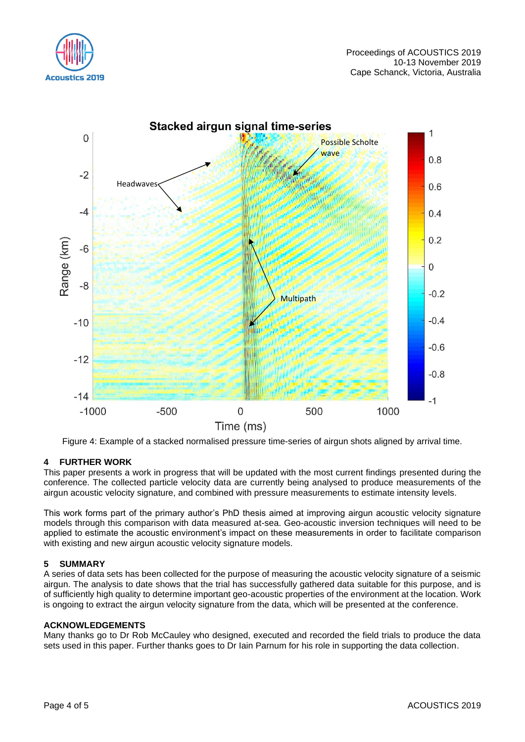



Figure 4: Example of a stacked normalised pressure time-series of airgun shots aligned by arrival time.

## **4 FURTHER WORK**

This paper presents a work in progress that will be updated with the most current findings presented during the conference. The collected particle velocity data are currently being analysed to produce measurements of the airgun acoustic velocity signature, and combined with pressure measurements to estimate intensity levels.

This work forms part of the primary author's PhD thesis aimed at improving airgun acoustic velocity signature models through this comparison with data measured at-sea. Geo-acoustic inversion techniques will need to be applied to estimate the acoustic environment's impact on these measurements in order to facilitate comparison with existing and new airgun acoustic velocity signature models.

## **5 SUMMARY**

A series of data sets has been collected for the purpose of measuring the acoustic velocity signature of a seismic airgun. The analysis to date shows that the trial has successfully gathered data suitable for this purpose, and is of sufficiently high quality to determine important geo-acoustic properties of the environment at the location. Work is ongoing to extract the airgun velocity signature from the data, which will be presented at the conference.

#### **ACKNOWLEDGEMENTS**

Many thanks go to Dr Rob McCauley who designed, executed and recorded the field trials to produce the data sets used in this paper. Further thanks goes to Dr Iain Parnum for his role in supporting the data collection.